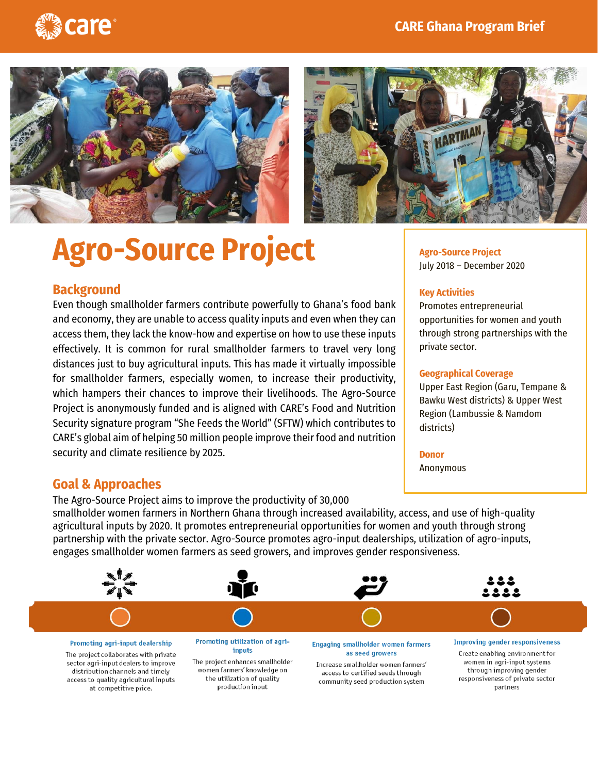





**Agro-Source Project** July 2018 – December 2020

Promotes entrepreneurial

**Geographical Coverage**

opportunities for women and youth through strong partnerships with the

Upper East Region (Garu, Tempane & Bawku West districts) & Upper West Region (Lambussie & Namdom

**Key Activities**

private sector.

districts)

**Donor** Anonymous

## **Agro-Source Project**

## **Background**

Even though smallholder farmers contribute powerfully to Ghana's food bank and economy, they are unable to access quality inputs and even when they can access them, they lack the know-how and expertise on how to use these inputs effectively. It is common for rural smallholder farmers to travel very long distances just to buy agricultural inputs. This has made it virtually impossible for smallholder farmers, especially women, to increase their productivity, which hampers their chances to improve their livelihoods. The Agro-Source Project is anonymously funded and is aligned with CARE's Food and Nutrition Security signature program "She Feeds the World" (SFTW) which contributes to CARE's global aim of helping 50 million people improve their food and nutrition security and climate resilience by 2025.

production input

## **Goal & Approaches**

at competitive price.

The Agro-Source Project aims to improve the productivity of 30,000 smallholder women farmers in Northern Ghana through increased availability, access, and use of high-quality agricultural inputs by 2020. It promotes entrepreneurial opportunities for women and youth through strong partnership with the private sector. Agro-Source promotes agro-input dealerships, utilization of agro-inputs, engages smallholder women farmers as seed growers, and improves gender responsiveness.



responsiveness of private sector

partners